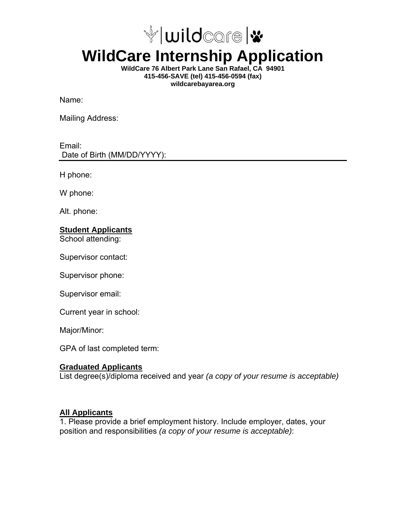

# **WildCare Internship Application**

**WildCare 76 Albert Park Lane San Rafael, CA 94901 415-456-SAVE (tel) 415-456-0594 (fax) wildcarebayarea.org** 

Name:

Mailing Address:

Email: Date of Birth (MM/DD/YYYY):

H phone:

W phone:

Alt. phone:

#### **Student Applicants**

School attending:

Supervisor contact:

Supervisor phone:

Supervisor email:

Current year in school:

Major/Minor:

GPA of last completed term:

#### **Graduated Applicants**

List degree(s)/diploma received and year *(a copy of your resume is acceptable)*

#### **All Applicants**

1. Please provide a brief employment history. Include employer, dates, your position and responsibilities *(a copy of your resume is acceptable)*: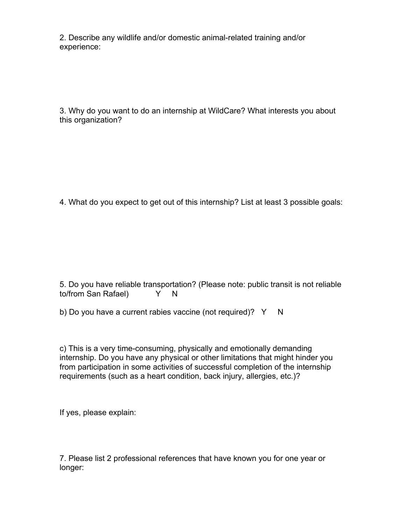2. Describe any wildlife and/or domestic animal-related training and/or experience:

3. Why do you want to do an internship at WildCare? What interests you about this organization?

4. What do you expect to get out of this internship? List at least 3 possible goals:

5. Do you have reliable transportation? (Please note: public transit is not reliable to/from San Rafael) Y N

b) Do you have a current rabies vaccine (not required)?  $Y \cap N$ 

c) This is a very time-consuming, physically and emotionally demanding internship. Do you have any physical or other limitations that might hinder you from participation in some activities of successful completion of the internship requirements (such as a heart condition, back injury, allergies, etc.)?

If yes, please explain:

7. Please list 2 professional references that have known you for one year or longer: